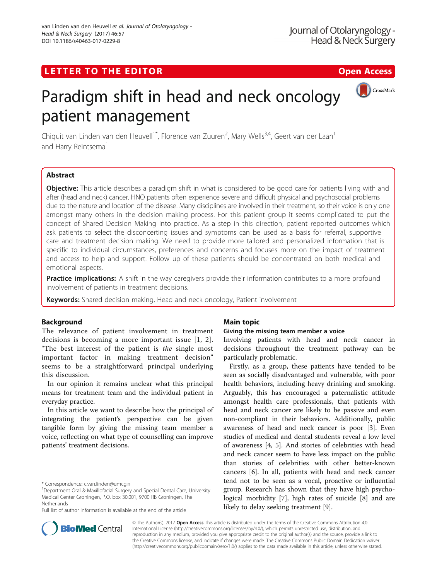## LETTER TO THE EDITOR **CONSIDERATION** CONSIDERING THE STATE AND THE STATE ASSAULT AND THE STATE ASSAULT ASSAULT AS



# Paradigm shift in head and neck oncology patient management

Chiquit van Linden van den Heuvell<sup>1\*</sup>, Florence van Zuuren<sup>2</sup>, Mary Wells<sup>3,4</sup>, Geert van der Laan<sup>1</sup> and Harry Reintsema<sup>1</sup>

## Abstract

Objective: This article describes a paradigm shift in what is considered to be good care for patients living with and after (head and neck) cancer. HNO patients often experience severe and difficult physical and psychosocial problems due to the nature and location of the disease. Many disciplines are involved in their treatment, so their voice is only one amongst many others in the decision making process. For this patient group it seems complicated to put the concept of Shared Decision Making into practice. As a step in this direction, patient reported outcomes which ask patients to select the disconcerting issues and symptoms can be used as a basis for referral, supportive care and treatment decision making. We need to provide more tailored and personalized information that is specific to individual circumstances, preferences and concerns and focuses more on the impact of treatment and access to help and support. Follow up of these patients should be concentrated on both medical and emotional aspects.

**Practice implications:** A shift in the way caregivers provide their information contributes to a more profound involvement of patients in treatment decisions.

Keywords: Shared decision making, Head and neck oncology, Patient involvement

## Background

The relevance of patient involvement in treatment decisions is becoming a more important issue [[1](#page-5-0), [2](#page-5-0)]. "The best interest of the patient is the single most important factor in making treatment decision" seems to be a straightforward principal underlying this discussion.

In our opinion it remains unclear what this principal means for treatment team and the individual patient in everyday practice.

In this article we want to describe how the principal of integrating the patient's perspective can be given tangible form by giving the missing team member a voice, reflecting on what type of counselling can improve patients' treatment decisions.

Full list of author information is available at the end of the article

## Main topic

## Giving the missing team member a voice

Involving patients with head and neck cancer in decisions throughout the treatment pathway can be particularly problematic.

Firstly, as a group, these patients have tended to be seen as socially disadvantaged and vulnerable, with poor health behaviors, including heavy drinking and smoking. Arguably, this has encouraged a paternalistic attitude amongst health care professionals, that patients with head and neck cancer are likely to be passive and even non-compliant in their behaviors. Additionally, public awareness of head and neck cancer is poor [[3\]](#page-5-0). Even studies of medical and dental students reveal a low level of awareness [[4](#page-5-0), [5](#page-5-0)]. And stories of celebrities with head and neck cancer seem to have less impact on the public than stories of celebrities with other better-known cancers [[6\]](#page-5-0). In all, patients with head and neck cancer tend not to be seen as a vocal, proactive or influential group. Research has shown that they have high psychological morbidity [\[7](#page-5-0)], high rates of suicide [[8\]](#page-5-0) and are likely to delay seeking treatment [\[9](#page-5-0)].



© The Author(s). 2017 **Open Access** This article is distributed under the terms of the Creative Commons Attribution 4.0 International License [\(http://creativecommons.org/licenses/by/4.0/](http://creativecommons.org/licenses/by/4.0/)), which permits unrestricted use, distribution, and reproduction in any medium, provided you give appropriate credit to the original author(s) and the source, provide a link to the Creative Commons license, and indicate if changes were made. The Creative Commons Public Domain Dedication waiver [\(http://creativecommons.org/publicdomain/zero/1.0/](http://creativecommons.org/publicdomain/zero/1.0/)) applies to the data made available in this article, unless otherwise stated.

<sup>\*</sup> Correspondence: [c.van.linden@umcg.nl](mailto:c.van.linden@umcg.nl) <sup>1</sup>

<sup>&</sup>lt;sup>1</sup>Department Oral & Maxillofacial Surgery and Special Dental Care, University Medical Center Groningen, P.O. box 30.001, 9700 RB Groningen, The **Netherlands**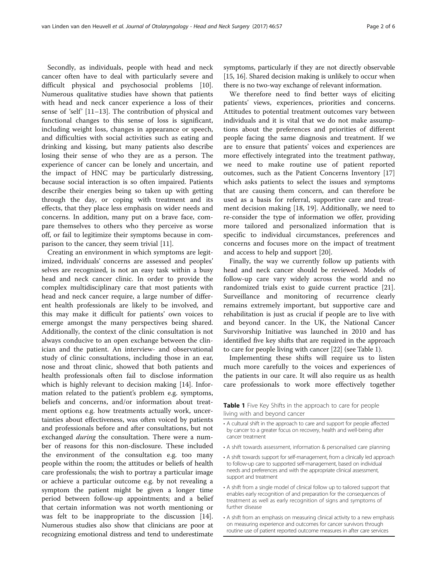Secondly, as individuals, people with head and neck cancer often have to deal with particularly severe and difficult physical and psychosocial problems [\[10](#page-5-0)]. Numerous qualitative studies have shown that patients with head and neck cancer experience a loss of their sense of 'self' [\[11](#page-5-0)–[13\]](#page-5-0). The contribution of physical and functional changes to this sense of loss is significant, including weight loss, changes in appearance or speech, and difficulties with social activities such as eating and drinking and kissing, but many patients also describe losing their sense of who they are as a person. The experience of cancer can be lonely and uncertain, and the impact of HNC may be particularly distressing, because social interaction is so often impaired. Patients describe their energies being so taken up with getting through the day, or coping with treatment and its effects, that they place less emphasis on wider needs and concerns. In addition, many put on a brave face, compare themselves to others who they perceive as worse off, or fail to legitimize their symptoms because in comparison to the cancer, they seem trivial [\[11](#page-5-0)].

Creating an environment in which symptoms are legitimized, individuals' concerns are assessed and peoples' selves are recognized, is not an easy task within a busy head and neck cancer clinic. In order to provide the complex multidisciplinary care that most patients with head and neck cancer require, a large number of different health professionals are likely to be involved, and this may make it difficult for patients' own voices to emerge amongst the many perspectives being shared. Additionally, the context of the clinic consultation is not always conducive to an open exchange between the clinician and the patient. An interview- and observational study of clinic consultations, including those in an ear, nose and throat clinic, showed that both patients and health professionals often fail to disclose information which is highly relevant to decision making [[14\]](#page-5-0). Information related to the patient's problem e.g. symptoms, beliefs and concerns, and/or information about treatment options e.g. how treatments actually work, uncertainties about effectiveness, was often voiced by patients and professionals before and after consultations, but not exchanged *during* the consultation. There were a number of reasons for this non-disclosure. These included the environment of the consultation e.g. too many people within the room; the attitudes or beliefs of health care professionals; the wish to portray a particular image or achieve a particular outcome e.g. by not revealing a symptom the patient might be given a longer time period between follow-up appointments; and a belief that certain information was not worth mentioning or was felt to be inappropriate to the discussion [\[14](#page-5-0)]. Numerous studies also show that clinicians are poor at recognizing emotional distress and tend to underestimate symptoms, particularly if they are not directly observable [[15](#page-5-0), [16\]](#page-5-0). Shared decision making is unlikely to occur when there is no two-way exchange of relevant information.

We therefore need to find better ways of eliciting patients' views, experiences, priorities and concerns. Attitudes to potential treatment outcomes vary between individuals and it is vital that we do not make assumptions about the preferences and priorities of different people facing the same diagnosis and treatment. If we are to ensure that patients' voices and experiences are more effectively integrated into the treatment pathway, we need to make routine use of patient reported outcomes, such as the Patient Concerns Inventory [[17](#page-5-0)] which asks patients to select the issues and symptoms that are causing them concern, and can therefore be used as a basis for referral, supportive care and treatment decision making [\[18, 19](#page-5-0)]. Additionally, we need to re-consider the type of information we offer, providing more tailored and personalized information that is specific to individual circumstances, preferences and concerns and focuses more on the impact of treatment and access to help and support [\[20\]](#page-5-0).

Finally, the way we currently follow up patients with head and neck cancer should be reviewed. Models of follow-up care vary widely across the world and no randomized trials exist to guide current practice [\[21](#page-5-0)]. Surveillance and monitoring of recurrence clearly remains extremely important, but supportive care and rehabilitation is just as crucial if people are to live with and beyond cancer. In the UK, the National Cancer Survivorship Initiative was launched in 2010 and has identified five key shifts that are required in the approach to care for people living with cancer [\[22\]](#page-5-0) (see Table 1).

Implementing these shifts will require us to listen much more carefully to the voices and experiences of the patients in our care. It will also require us as health care professionals to work more effectively together

Table 1 Five Key Shifts in the approach to care for people living with and beyond cancer

- A shift towards assessment, information & personalised care planning
- A shift towards support for self-management, from a clinically led approach to follow-up care to supported self-management, based on individual needs and preferences and with the appropriate clinical assessment, support and treatment
- A shift from a single model of clinical follow up to tailored support that enables early recognition of and preparation for the consequences of treatment as well as early recognition of signs and symptoms of further disease
- A shift from an emphasis on measuring clinical activity to a new emphasis on measuring experience and outcomes for cancer survivors through routine use of patient reported outcome measures in after care services

<sup>•</sup> A cultural shift in the approach to care and support for people affected by cancer to a greater focus on recovery, health and well-being after cancer treatment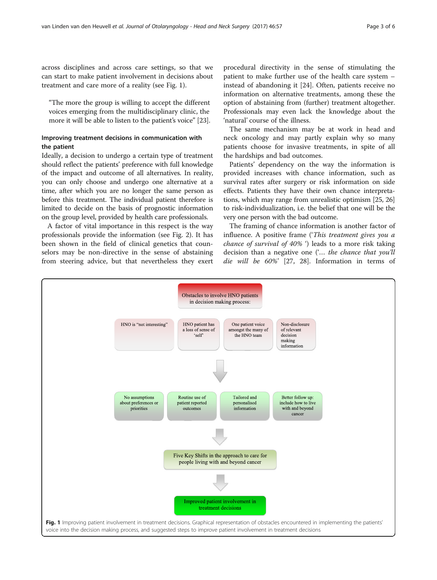across disciplines and across care settings, so that we can start to make patient involvement in decisions about treatment and care more of a reality (see Fig. 1).

"The more the group is willing to accept the different voices emerging from the multidisciplinary clinic, the more it will be able to listen to the patient's voice" [[23](#page-5-0)].

## Improving treatment decisions in communication with the patient

Ideally, a decision to undergo a certain type of treatment should reflect the patients' preference with full knowledge of the impact and outcome of all alternatives. In reality, you can only choose and undergo one alternative at a time, after which you are no longer the same person as before this treatment. The individual patient therefore is limited to decide on the basis of prognostic information on the group level, provided by health care professionals.

A factor of vital importance in this respect is the way professionals provide the information (see Fig. [2](#page-3-0)). It has been shown in the field of clinical genetics that counselors may be non-directive in the sense of abstaining from steering advice, but that nevertheless they exert

procedural directivity in the sense of stimulating the patient to make further use of the health care system – instead of abandoning it [\[24](#page-5-0)]. Often, patients receive no information on alternative treatments, among these the option of abstaining from (further) treatment altogether. Professionals may even lack the knowledge about the 'natural' course of the illness.

The same mechanism may be at work in head and neck oncology and may partly explain why so many patients choose for invasive treatments, in spite of all the hardships and bad outcomes.

Patients' dependency on the way the information is provided increases with chance information, such as survival rates after surgery or risk information on side effects. Patients they have their own chance interpretations, which may range from unrealistic optimism [\[25, 26](#page-5-0)] to risk-individualization, i.e. the belief that one will be the very one person with the bad outcome.

The framing of chance information is another factor of influence. A positive frame ('This treatment gives you a chance of survival of 40% ') leads to a more risk taking decision than a negative one ('… the chance that you'll die will be 60%' [[27, 28](#page-5-0)]. Information in terms of

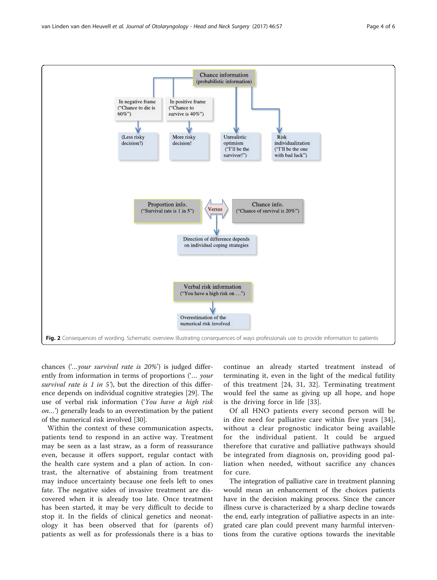<span id="page-3-0"></span>

chances ('…your survival rate is 20%') is judged differently from information in terms of proportions ('… your survival rate is 1 in 5'), but the direction of this difference depends on individual cognitive strategies [\[29\]](#page-5-0). The use of verbal risk information ('You have a high risk on…') generally leads to an overestimation by the patient of the numerical risk involved [\[30](#page-5-0)].

Within the context of these communication aspects, patients tend to respond in an active way. Treatment may be seen as a last straw, as a form of reassurance even, because it offers support, regular contact with the health care system and a plan of action. In contrast, the alternative of abstaining from treatment may induce uncertainty because one feels left to ones fate. The negative sides of invasive treatment are discovered when it is already too late. Once treatment has been started, it may be very difficult to decide to stop it. In the fields of clinical genetics and neonatology it has been observed that for (parents of) patients as well as for professionals there is a bias to

continue an already started treatment instead of terminating it, even in the light of the medical futility of this treatment [[24, 31, 32\]](#page-5-0). Terminating treatment would feel the same as giving up all hope, and hope is the driving force in life [\[33](#page-5-0)].

Of all HNO patients every second person will be in dire need for palliative care within five years [[34](#page-5-0)], without a clear prognostic indicator being available for the individual patient. It could be argued therefore that curative and palliative pathways should be integrated from diagnosis on, providing good palliation when needed, without sacrifice any chances for cure.

The integration of palliative care in treatment planning would mean an enhancement of the choices patients have in the decision making process. Since the cancer illness curve is characterized by a sharp decline towards the end, early integration of palliative aspects in an integrated care plan could prevent many harmful interventions from the curative options towards the inevitable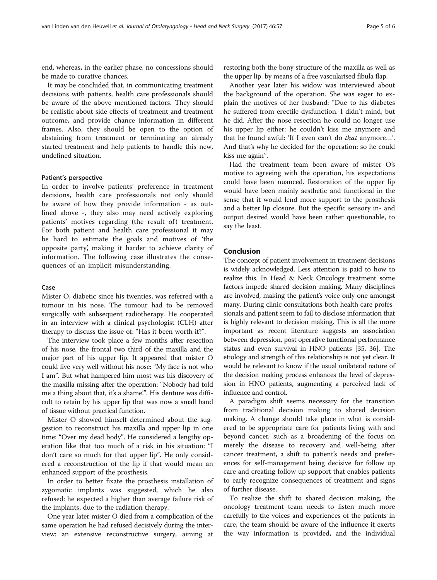end, whereas, in the earlier phase, no concessions should be made to curative chances.

It may be concluded that, in communicating treatment decisions with patients, health care professionals should be aware of the above mentioned factors. They should be realistic about side effects of treatment and treatment outcome, and provide chance information in different frames. Also, they should be open to the option of abstaining from treatment or terminating an already started treatment and help patients to handle this new, undefined situation.

#### Patient's perspective

In order to involve patients' preference in treatment decisions, health care professionals not only should be aware of how they provide information - as outlined above -, they also may need actively exploring patients' motives regarding (the result of) treatment. For both patient and health care professional it may be hard to estimate the goals and motives of 'the opposite party', making it harder to achieve clarity of information. The following case illustrates the consequences of an implicit misunderstanding.

### Case

Mister O, diabetic since his twenties, was referred with a tumour in his nose. The tumour had to be removed surgically with subsequent radiotherapy. He cooperated in an interview with a clinical psychologist (CLH) after therapy to discuss the issue of: "Has it been worth it?".

The interview took place a few months after resection of his nose, the frontal two third of the maxilla and the major part of his upper lip. It appeared that mister O could live very well without his nose: "My face is not who I am". But what hampered him most was his discovery of the maxilla missing after the operation: "Nobody had told me a thing about that, it's a shame!". His denture was difficult to retain by his upper lip that was now a small band of tissue without practical function.

Mister O showed himself determined about the suggestion to reconstruct his maxilla and upper lip in one time: "Over my dead body". He considered a lengthy operation like that too much of a risk in his situation: "I don't care so much for that upper lip". He only considered a reconstruction of the lip if that would mean an enhanced support of the prosthesis.

In order to better fixate the prosthesis installation of zygomatic implants was suggested, which he also refused: he expected a higher than average failure risk of the implants, due to the radiation therapy.

One year later mister O died from a complication of the same operation he had refused decisively during the interview: an extensive reconstructive surgery, aiming at restoring both the bony structure of the maxilla as well as the upper lip, by means of a free vascularised fibula flap.

Another year later his widow was interviewed about the background of the operation. She was eager to explain the motives of her husband: "Due to his diabetes he suffered from erectile dysfunction. I didn't mind, but he did. After the nose resection he could no longer use his upper lip either: he couldn't kiss me anymore and that he found awful: 'If I even can't do that anymore…'. And that's why he decided for the operation: so he could kiss me again".

Had the treatment team been aware of mister O's motive to agreeing with the operation, his expectations could have been nuanced. Restoration of the upper lip would have been mainly aesthetic and functional in the sense that it would lend more support to the prosthesis and a better lip closure. But the specific sensory in- and output desired would have been rather questionable, to say the least.

## Conclusion

The concept of patient involvement in treatment decisions is widely acknowledged. Less attention is paid to how to realize this. In Head & Neck Oncology treatment some factors impede shared decision making. Many disciplines are involved, making the patient's voice only one amongst many. During clinic consultations both health care professionals and patient seem to fail to disclose information that is highly relevant to decision making. This is all the more important as recent literature suggests an association between depression, post operative functional performance status and even survival in HNO patients [\[35, 36](#page-5-0)]. The etiology and strength of this relationship is not yet clear. It would be relevant to know if the usual unilateral nature of the decision making process enhances the level of depression in HNO patients, augmenting a perceived lack of influence and control.

A paradigm shift seems necessary for the transition from traditional decision making to shared decision making. A change should take place in what is considered to be appropriate care for patients living with and beyond cancer, such as a broadening of the focus on merely the disease to recovery and well-being after cancer treatment, a shift to patient's needs and preferences for self-management being decisive for follow up care and creating follow up support that enables patients to early recognize consequences of treatment and signs of further disease.

To realize the shift to shared decision making, the oncology treatment team needs to listen much more carefully to the voices and experiences of the patients in care, the team should be aware of the influence it exerts the way information is provided, and the individual